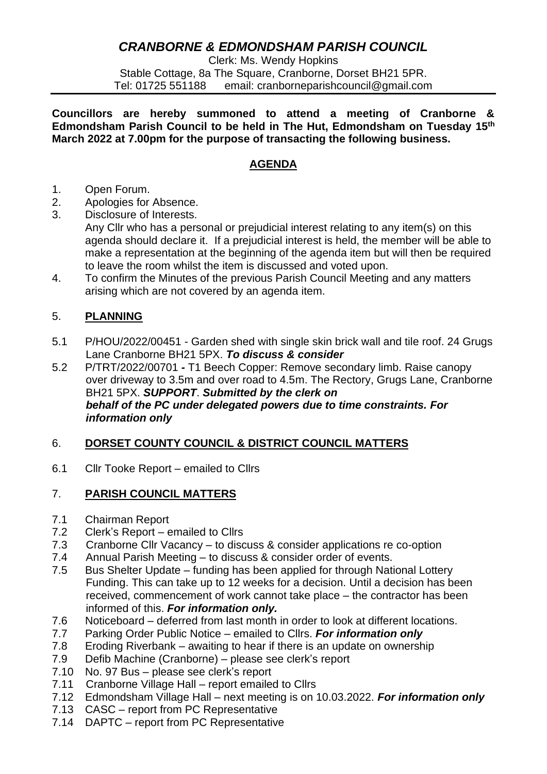# *CRANBORNE & EDMONDSHAM PARISH COUNCIL*

Clerk: Ms. Wendy Hopkins Stable Cottage, 8a The Square, Cranborne, Dorset BH21 5PR. Tel: 01725 551188 email: cranborneparishcouncil@gmail.com

**Councillors are hereby summoned to attend a meeting of Cranborne & Edmondsham Parish Council to be held in The Hut, Edmondsham on Tuesday 15th March 2022 at 7.00pm for the purpose of transacting the following business.**

# **AGENDA**

- 1. Open Forum.
- 2. Apologies for Absence.
- 3. Disclosure of Interests. Any Cllr who has a personal or prejudicial interest relating to any item(s) on this agenda should declare it. If a prejudicial interest is held, the member will be able to make a representation at the beginning of the agenda item but will then be required to leave the room whilst the item is discussed and voted upon.
- 4. To confirm the Minutes of the previous Parish Council Meeting and any matters arising which are not covered by an agenda item.

# 5. **PLANNING**

- 5.1 P/HOU/2022/00451 Garden shed with single skin brick wall and tile roof. 24 Grugs Lane Cranborne BH21 5PX. *To discuss & consider*
- 5.2 P/TRT/2022/00701 *-* T1 Beech Copper: Remove secondary limb. Raise canopy over driveway to 3.5m and over road to 4.5m. The Rectory, Grugs Lane, Cranborne BH21 5PX. *SUPPORT*. *Submitted by the clerk on behalf of the PC under delegated powers due to time constraints. For information only*

### 6. **DORSET COUNTY COUNCIL & DISTRICT COUNCIL MATTERS**

6.1 Cllr Tooke Report – emailed to Cllrs

### 7. **PARISH COUNCIL MATTERS**

- 7.1 Chairman Report
- 7.2 Clerk's Report emailed to Cllrs
- 7.3 Cranborne Cllr Vacancy to discuss & consider applications re co-option
- 7.4 Annual Parish Meeting to discuss & consider order of events.
- 7.5 Bus Shelter Update funding has been applied for through National Lottery Funding. This can take up to 12 weeks for a decision. Until a decision has been received, commencement of work cannot take place – the contractor has been informed of this. *For information only.*
- 7.6 Noticeboard deferred from last month in order to look at different locations.
- 7.7 Parking Order Public Notice emailed to Cllrs. *For information only*
- 7.8 Eroding Riverbank awaiting to hear if there is an update on ownership
- 7.9 Defib Machine (Cranborne) please see clerk's report
- 7.10 No. 97 Bus please see clerk's report
- 7.11 Cranborne Village Hall report emailed to Cllrs
- 7.12 Edmondsham Village Hall next meeting is on 10.03.2022. *For information only*
- 7.13 CASC report from PC Representative
- 7.14 DAPTC report from PC Representative